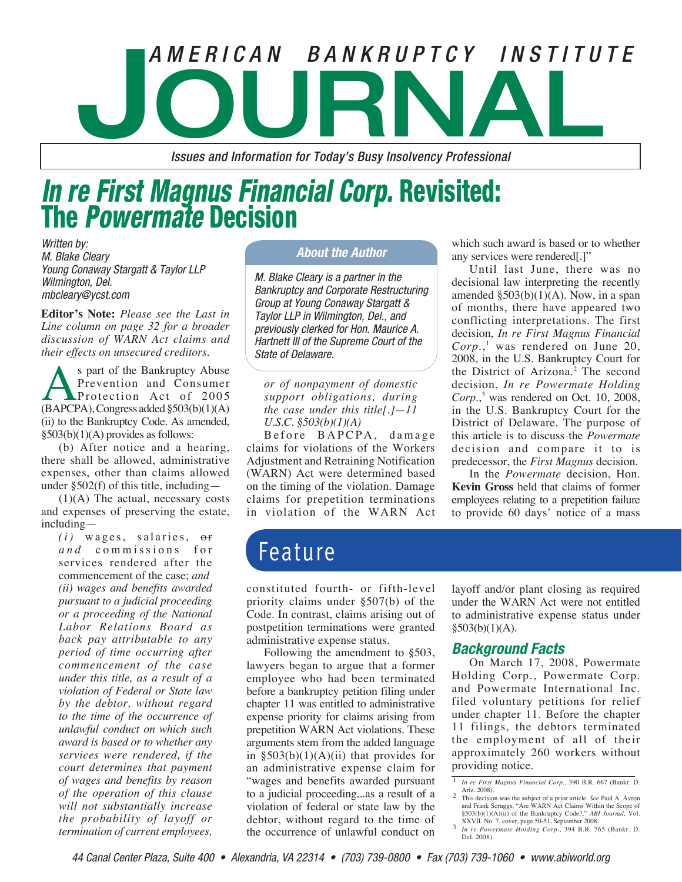# **Journal of the CAN BANKRUPTCY INSTITUTE**<br> **AMERICAN BANKRUPTCY INSTITUTE**

*Issues and Information for Today's Busy Insolvency Professional*

# *In re First Magnus Financial Corp.* Revisited: The *Powermate* Decision

Written by: M. Blake Cleary Young Conaway Stargatt & Taylor LLP Wilmington, Del. mbcleary@ycst.com

**Editor's Note:** *Please see the Last in Line column on page 32 for a broader discussion of WARN Act claims and their effects on unsecured creditors.*

S part of the Bankruptcy Abuse<br>Prevention and Consumer<br>(BAPCPA), Congress added §503(b)(1)(A) Prevention and Consumer Protection Act of 2005 (ii) to the Bankruptcy Code. As amended, §503(b)(1)(A) provides as follows:

(b) After notice and a hearing, there shall be allowed, administrative expenses, other than claims allowed under  $\S 502(f)$  of this title, including —

 $(1)(A)$  The actual, necessary costs and expenses of preserving the estate, including—

 $(i)$  wages, salaries,  $\sigma$ **r** *and* commissions for services rendered after the commencement of the case; *and (ii) wages and benefits awarded pursuant to a judicial proceeding or a proceeding of the National Labor Relations Board as back pay attributable to any period of time occurring after commencement of the case under this title, as a result of a violation of Federal or State law by the debtor, without regard to the time of the occurrence of unlawful conduct on which such award is based or to whether any services were rendered, if the court determines that payment of wages and benefits by reason of the operation of this clause will not substantially increase the probability of layoff or termination of current employees,* 

### *About the Author*

M. Blake Cleary is a partner in the Bankruptcy and Corporate Restructuring Group at Young Conaway Stargatt & Taylor LLP in Wilmington, Del., and previously clerked for Hon. Maurice A. Hartnett III of the Supreme Court of the State of Delaware.

*or of nonpayment of domestic support obligations, during the case under this title[.]—11 U.S.C. §503(b)(1)(A)*

Before BAPCPA, damage claims for violations of the Workers Adjustment and Retraining Notification (WARN) Act were determined based on the timing of the violation. Damage claims for prepetition terminations in violation of the WARN Act

which such award is based or to whether any services were rendered[.]"

Until last June, there was no decisional law interpreting the recently amended  $\S 503(b)(1)(A)$ . Now, in a span of months, there have appeared two conflicting interpretations. The first decision, *In re First Magnus Financial Corp.*, 1 was rendered on June 20, 2008, in the U.S. Bankruptcy Court for the District of Arizona.<sup>2</sup> The second decision, *In re Powermate Holding*  Corp.,<sup>3</sup> was rendered on Oct. 10, 2008, in the U.S. Bankruptcy Court for the District of Delaware. The purpose of this article is to discuss the *Powermate* decision and compare it to is predecessor, the *First Magnus* decision.

In the *Powermate* decision, Hon. **Kevin Gross** held that claims of former employees relating to a prepetition failure to provide 60 days' notice of a mass

## Feature

constituted fourth- or fifth-level priority claims under §507(b) of the Code. In contrast, claims arising out of postpetition terminations were granted administrative expense status.

Following the amendment to §503, lawyers began to argue that a former employee who had been terminated before a bankruptcy petition filing under chapter 11 was entitled to administrative expense priority for claims arising from prepetition WARN Act violations. These arguments stem from the added language in  $\S 503(b)(1)(A)(ii)$  that provides for an administrative expense claim for "wages and benefits awarded pursuant to a judicial proceeding...as a result of a violation of federal or state law by the debtor, without regard to the time of the occurrence of unlawful conduct on

layoff and/or plant closing as required under the WARN Act were not entitled to administrative expense status under  $§503(b)(1)(A).$ 

### *Background Facts*

On March 17, 2008, Powermate Holding Corp., Powermate Corp. and Powermate International Inc. filed voluntary petitions for relief under chapter 11. Before the chapter 11 filings, the debtors terminated the employment of all of their approximately 260 workers without providing notice.

<sup>1</sup> *In re First Magnus Financial Corp.*, 390 B.R. 667 (Bankr. D.

Ariz. 2008). 2 This decision was the subject of a prior article. *See* Paul A. Avron and Frank Scruggs, "Are WARN Act Claims Within the Scope of §503(b)(1)(A)(ii) of the Bankruptcy Code?," *ABI Journal*, Vol. XXVII, No. 7, cover, page 50-51, September 2008.

In re Powermate Holding Corp., 394 B.R. 765 (Bankr. D. Del. 2008).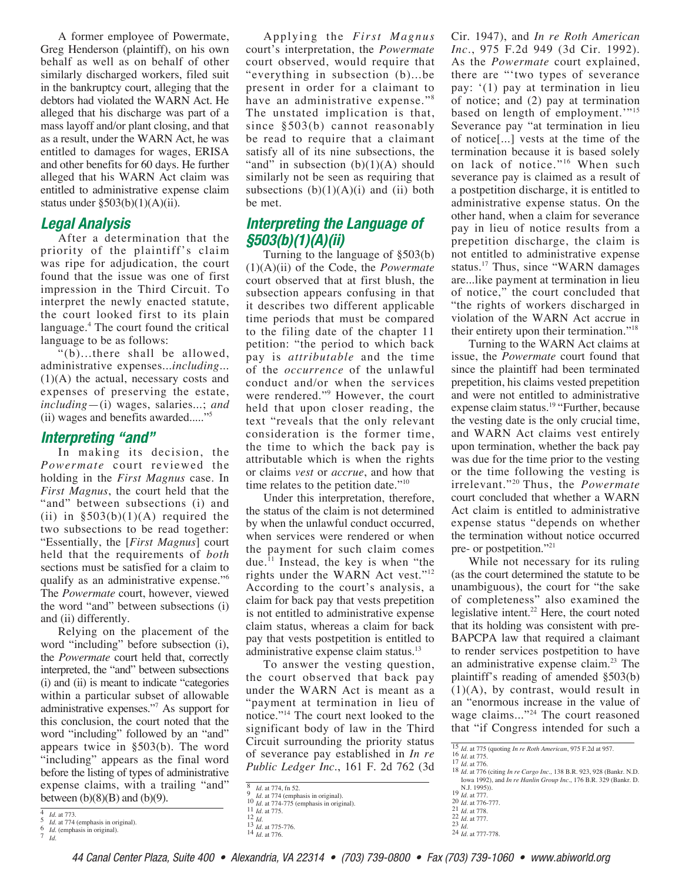A former employee of Powermate, Greg Henderson (plaintiff), on his own behalf as well as on behalf of other similarly discharged workers, filed suit in the bankruptcy court, alleging that the debtors had violated the WARN Act. He alleged that his discharge was part of a mass layoff and/or plant closing, and that as a result, under the WARN Act, he was entitled to damages for wages, ERISA and other benefits for 60 days. He further alleged that his WARN Act claim was entitled to administrative expense claim status under  $\S503(b)(1)(A)(ii)$ .

### *Legal Analysis*

After a determination that the priority of the plaintiff's claim was ripe for adjudication, the court found that the issue was one of first impression in the Third Circuit. To interpret the newly enacted statute, the court looked first to its plain language.4 The court found the critical language to be as follows:

"(b)...there shall be allowed, administrative expenses...*including*... (1)(A) the actual, necessary costs and expenses of preserving the estate, *including*—(i) wages, salaries...; *and* (ii) wages and benefits awarded....."

### *Interpreting "and"*

In making its decision, the *Powermate* court reviewed the holding in the *First Magnus* case. In *First Magnus*, the court held that the "and" between subsections (i) and (ii) in  $\S 503(b)(1)(A)$  required the two subsections to be read together: "Essentially, the [*First Magnus*] court held that the requirements of *both* sections must be satisfied for a claim to qualify as an administrative expense."6 The *Powermate* court, however, viewed the word "and" between subsections (i) and (ii) differently.

Relying on the placement of the word "including" before subsection (i), the *Powermate* court held that, correctly interpreted, the "and" between subsections (i) and (ii) is meant to indicate "categories within a particular subset of allowable administrative expenses."7 As support for this conclusion, the court noted that the word "including" followed by an "and" appears twice in §503(b). The word "including" appears as the final word before the listing of types of administrative expense claims, with a trailing "and" between  $(b)(8)(B)$  and  $(b)(9)$ .

Applying the *First Magnus* court's interpretation, the *Powermate* court observed, would require that "everything in subsection (b)...be present in order for a claimant to have an administrative expense."<sup>8</sup> The unstated implication is that, since §503(b) cannot reasonably be read to require that a claimant satisfy all of its nine subsections, the "and" in subsection  $(b)(1)(A)$  should similarly not be seen as requiring that subsections  $(b)(1)(A)(i)$  and  $(ii)$  both be met.

### *Interpreting the Language of §503(b)(1)(A)(ii)*

Turning to the language of §503(b) (1)(A)(ii) of the Code, the *Powermate* court observed that at first blush, the subsection appears confusing in that it describes two different applicable time periods that must be compared to the filing date of the chapter 11 petition: "the period to which back pay is *attributable* and the time of the *occurrence* of the unlawful conduct and/or when the services were rendered."9 However, the court held that upon closer reading, the text "reveals that the only relevant consideration is the former time, the time to which the back pay is attributable which is when the rights or claims *vest* or *accrue*, and how that time relates to the petition date."<sup>10</sup>

Under this interpretation, therefore, the status of the claim is not determined by when the unlawful conduct occurred, when services were rendered or when the payment for such claim comes due. $^{11}$  Instead, the key is when "the rights under the WARN Act vest."12 According to the court's analysis, a claim for back pay that vests prepetition is not entitled to administrative expense claim status, whereas a claim for back pay that vests postpetition is entitled to administrative expense claim status.13

To answer the vesting question, the court observed that back pay under the WARN Act is meant as a "payment at termination in lieu of notice."14 The court next looked to the significant body of law in the Third Circuit surrounding the priority status of severance pay established in *In re Public Ledger Inc.*, 161 F. 2d 762 (3d Cir. 1947), and *In re Roth American Inc.*, 975 F.2d 949 (3d Cir. 1992). As the *Powermate* court explained, there are "'two types of severance pay: '(1) pay at termination in lieu of notice; and (2) pay at termination based on length of employment.'"<sup>15</sup> Severance pay "at termination in lieu of notice[...] vests at the time of the termination because it is based solely on lack of notice."<sup>16</sup> When such severance pay is claimed as a result of a postpetition discharge, it is entitled to administrative expense status. On the other hand, when a claim for severance pay in lieu of notice results from a prepetition discharge, the claim is not entitled to administrative expense status.17 Thus, since "WARN damages are...like payment at termination in lieu of notice," the court concluded that "the rights of workers discharged in violation of the WARN Act accrue in their entirety upon their termination."18

Turning to the WARN Act claims at issue, the *Powermate* court found that since the plaintiff had been terminated prepetition, his claims vested prepetition and were not entitled to administrative expense claim status.<sup>19</sup> "Further, because the vesting date is the only crucial time, and WARN Act claims vest entirely upon termination, whether the back pay was due for the time prior to the vesting or the time following the vesting is irrelevant."20 Thus, the *Powermate* court concluded that whether a WARN Act claim is entitled to administrative expense status "depends on whether the termination without notice occurred pre- or postpetition."21

While not necessary for its ruling (as the court determined the statute to be unambiguous), the court for "the sake of completeness" also examined the legislative intent.<sup>22</sup> Here, the court noted that its holding was consistent with pre-BAPCPA law that required a claimant to render services postpetition to have an administrative expense claim.<sup>23</sup> The plaintiff's reading of amended §503(b)  $(1)(A)$ , by contrast, would result in an "enormous increase in the value of wage claims..."<sup>24</sup> The court reasoned that "if Congress intended for such a

<sup>15</sup> *Id.* at 775 (quoting *In re Roth American*, 975 F.2d at 957.<br>
16 *Id.* at 775.<br>
<sup>17</sup> *Id.* at 776.<br>
<sup>17</sup> *Id.* at 776 (citing *In re Cargo Inc.*, 138 B.R. 923, 928 (Bankr. N.D.<br>
<sup>18</sup> *Id.* at 776 (citing *In re Carg* 

N.J. 1995)). 19 *Id.* at 777. 20 *Id.* at 776-777. 21 *Id.* at 778. 22 *Id.* at 777. 23 *Id.* 24 *Id.* at 777-778.

<sup>4</sup> *Id.* at 773. 5 *Id.* at 774 (emphasis in original). <sup>6</sup> *Id.* (emphasis in original). <sup>7</sup> *Id.*

<sup>8</sup> *Id.* at 774, fn 52.<br>9 *Id.* at 774 (emphasis in original).<br>10 *Id.* at 774-775 (emphasis in original).<br>11 *Id.* at 775-776.<br>13 *Id.* at 775-776.<br>14 *Id.* at 775-776.